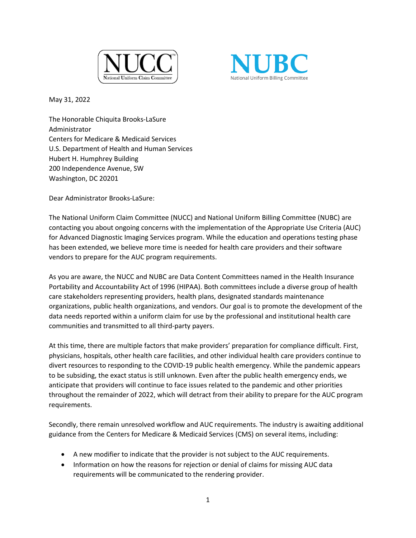



May 31, 2022

The Honorable Chiquita Brooks-LaSure Administrator Centers for Medicare & Medicaid Services U.S. Department of Health and Human Services Hubert H. Humphrey Building 200 Independence Avenue, SW Washington, DC 20201

Dear Administrator Brooks-LaSure:

The National Uniform Claim Committee (NUCC) and National Uniform Billing Committee (NUBC) are contacting you about ongoing concerns with the implementation of the Appropriate Use Criteria (AUC) for Advanced Diagnostic Imaging Services program. While the education and operations testing phase has been extended, we believe more time is needed for health care providers and their software vendors to prepare for the AUC program requirements.

As you are aware, the NUCC and NUBC are Data Content Committees named in the Health Insurance Portability and Accountability Act of 1996 (HIPAA). Both committees include a diverse group of health care stakeholders representing providers, health plans, designated standards maintenance organizations, public health organizations, and vendors. Our goal is to promote the development of the data needs reported within a uniform claim for use by the professional and institutional health care communities and transmitted to all third-party payers.

At this time, there are multiple factors that make providers' preparation for compliance difficult. First, physicians, hospitals, other health care facilities, and other individual health care providers continue to divert resources to responding to the COVID-19 public health emergency. While the pandemic appears to be subsiding, the exact status is still unknown. Even after the public health emergency ends, we anticipate that providers will continue to face issues related to the pandemic and other priorities throughout the remainder of 2022, which will detract from their ability to prepare for the AUC program requirements.

Secondly, there remain unresolved workflow and AUC requirements. The industry is awaiting additional guidance from the Centers for Medicare & Medicaid Services (CMS) on several items, including:

- A new modifier to indicate that the provider is not subject to the AUC requirements.
- Information on how the reasons for rejection or denial of claims for missing AUC data requirements will be communicated to the rendering provider.